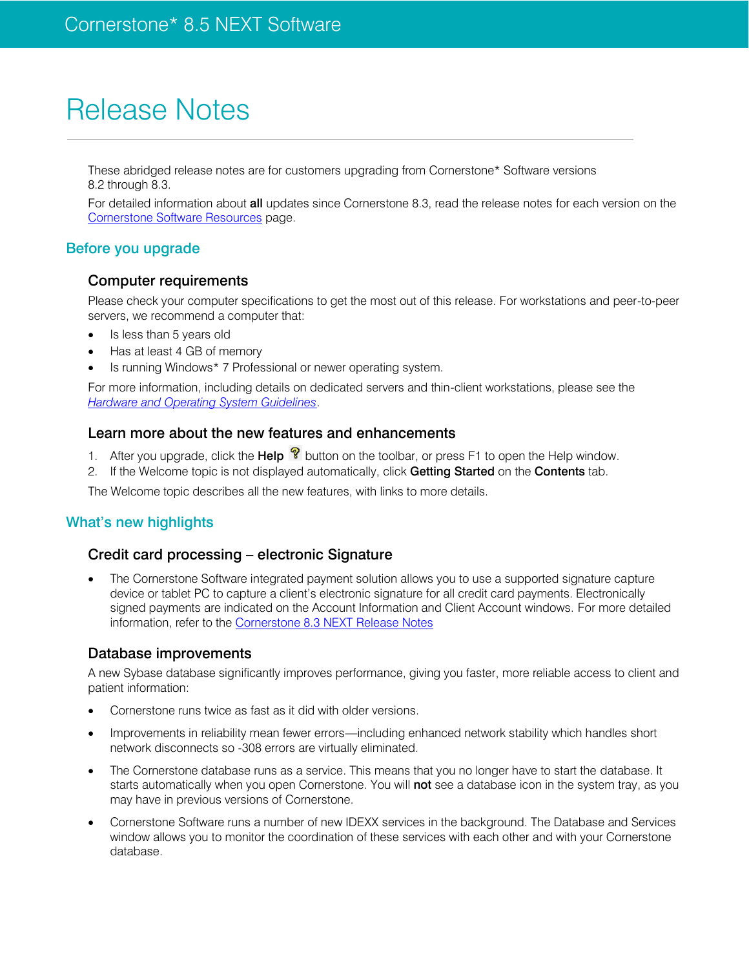# Release Notes

These abridged release notes are for customers upgrading from Cornerstone\* Software versions 8.2 through 8.3.

For detailed information about all updates since Cornerstone 8.3, read the release notes for each version on the [Cornerstone Software](https://www.idexx.com/small-animal-health/support/documents-and-resources/cornerstone-software-resources.html) Resources page.

## Before you upgrade

## Computer requirements

Please check your computer specifications to get the most out of this release. For workstations and peer-to-peer servers, we recommend a computer that:

- Is less than 5 years old
- Has at least 4 GB of memory
- Is running Windows\* 7 Professional or newer operating system.

For more information, including details on dedicated servers and thin-client workstations, please see the *[Hardware and Operating System Guidelines](https://www.idexx.com/resource-library/smallanimal/cornerstone-hardware-guidelines.pdf)*.

## Learn more about the new features and enhancements

- 1. After you upgrade, click the **Help**  $\mathbb{R}$  button on the toolbar, or press F1 to open the Help window.
- 2. If the Welcome topic is not displayed automatically, click Getting Started on the Contents tab.

The Welcome topic describes all the new features, with links to more details.

## What's new highlights

## Credit card processing – electronic Signature

 The Cornerstone Software integrated payment solution allows you to use a supported signature capture device or tablet PC to capture a client's electronic signature for all credit card payments. Electronically signed payments are indicated on the Account Information and Client Account windows. For more detailed information, refer to the [Cornerstone 8.3 NEXT Release Notes](https://www.idexx.com/files/small-animal-health/products-and-services/practice-information-management/cornerstone-software/cornerstone-8.3.6-whats-new.pdf)

## Database improvements

A new Sybase database significantly improves performance, giving you faster, more reliable access to client and patient information:

- Cornerstone runs twice as fast as it did with older versions.
- Improvements in reliability mean fewer errors—including enhanced network stability which handles short network disconnects so -308 errors are virtually eliminated.
- The Cornerstone database runs as a service. This means that you no longer have to start the database. It starts automatically when you open Cornerstone. You will not see a database icon in the system tray, as you may have in previous versions of Cornerstone.
- Cornerstone Software runs a number of new IDEXX services in the background. The Database and Services window allows you to monitor the coordination of these services with each other and with your Cornerstone database.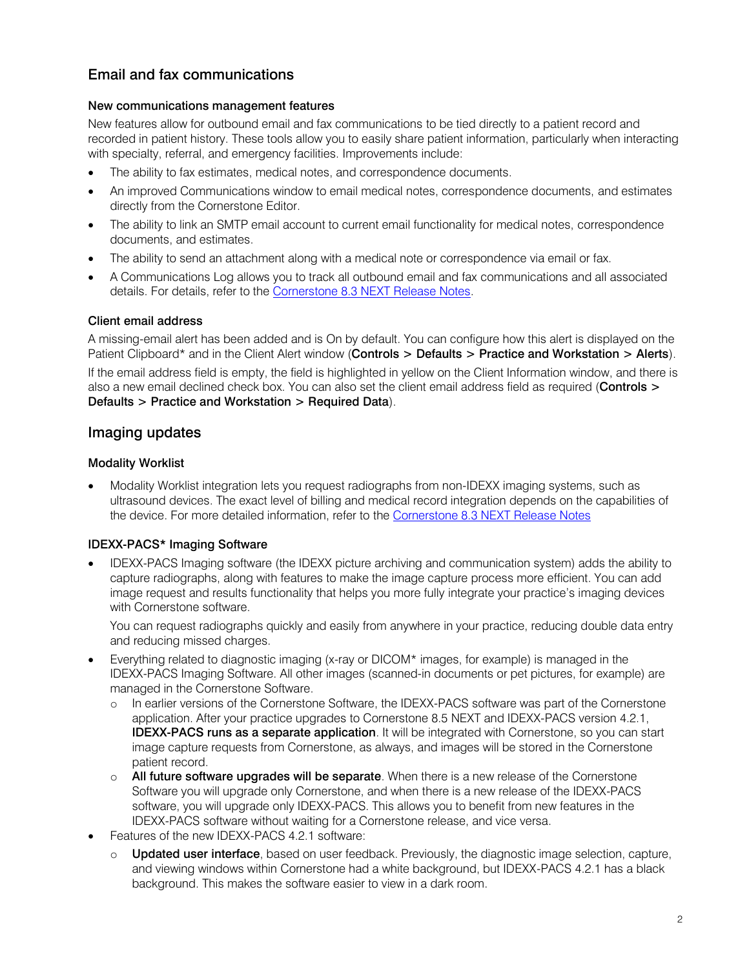# Email and fax communications

#### New communications management features

New features allow for outbound email and fax communications to be tied directly to a patient record and recorded in patient history. These tools allow you to easily share patient information, particularly when interacting with specialty, referral, and emergency facilities. Improvements include:

- The ability to fax estimates, medical notes, and correspondence documents.
- An improved Communications window to email medical notes, correspondence documents, and estimates directly from the Cornerstone Editor.
- The ability to link an SMTP email account to current email functionality for medical notes, correspondence documents, and estimates.
- The ability to send an attachment along with a medical note or correspondence via email or fax.
- A Communications Log allows you to track all outbound email and fax communications and all associated details. For details, refer to the [Cornerstone 8.3 NEXT Release Notes.](https://www.idexx.com/files/small-animal-health/products-and-services/practice-information-management/cornerstone-software/cornerstone-8.3.6-whats-new.pdf)

#### Client email address

A missing-email alert has been added and is On by default. You can configure how this alert is displayed on the Patient Clipboard\* and in the Client Alert window (Controls > Defaults > Practice and Workstation > Alerts).

If the email address field is empty, the field is highlighted in yellow on the Client Information window, and there is also a new email declined check box. You can also set the client email address field as required (Controls > Defaults > Practice and Workstation > Required Data).

## Imaging updates

#### Modality Worklist

 Modality Worklist integration lets you request radiographs from non-IDEXX imaging systems, such as ultrasound devices. The exact level of billing and medical record integration depends on the capabilities of the device. For more detailed information, refer to the [Cornerstone 8.3 NEXT Release Notes](https://www.idexx.com/files/small-animal-health/products-and-services/practice-information-management/cornerstone-software/cornerstone-8.3.6-whats-new.pdf)

#### IDEXX-PACS\* Imaging Software

 IDEXX-PACS Imaging software (the IDEXX picture archiving and communication system) adds the ability to capture radiographs, along with features to make the image capture process more efficient. You can add image request and results functionality that helps you more fully integrate your practice's imaging devices with Cornerstone software.

You can request radiographs quickly and easily from anywhere in your practice, reducing double data entry and reducing missed charges.

- Everything related to diagnostic imaging (x-ray or DICOM\* images, for example) is managed in the IDEXX-PACS Imaging Software. All other images (scanned-in documents or pet pictures, for example) are managed in the Cornerstone Software.
	- o In earlier versions of the Cornerstone Software, the IDEXX-PACS software was part of the Cornerstone application. After your practice upgrades to Cornerstone 8.5 NEXT and IDEXX-PACS version 4.2.1, **IDEXX-PACS runs as a separate application**. It will be integrated with Cornerstone, so you can start image capture requests from Cornerstone, as always, and images will be stored in the Cornerstone patient record.
	- $\circ$  All future software upgrades will be separate. When there is a new release of the Cornerstone Software you will upgrade only Cornerstone, and when there is a new release of the IDEXX-PACS software, you will upgrade only IDEXX-PACS. This allows you to benefit from new features in the IDEXX-PACS software without waiting for a Cornerstone release, and vice versa.
- Features of the new IDEXX-PACS 4.2.1 software:
	- o Updated user interface, based on user feedback. Previously, the diagnostic image selection, capture, and viewing windows within Cornerstone had a white background, but IDEXX-PACS 4.2.1 has a black background. This makes the software easier to view in a dark room.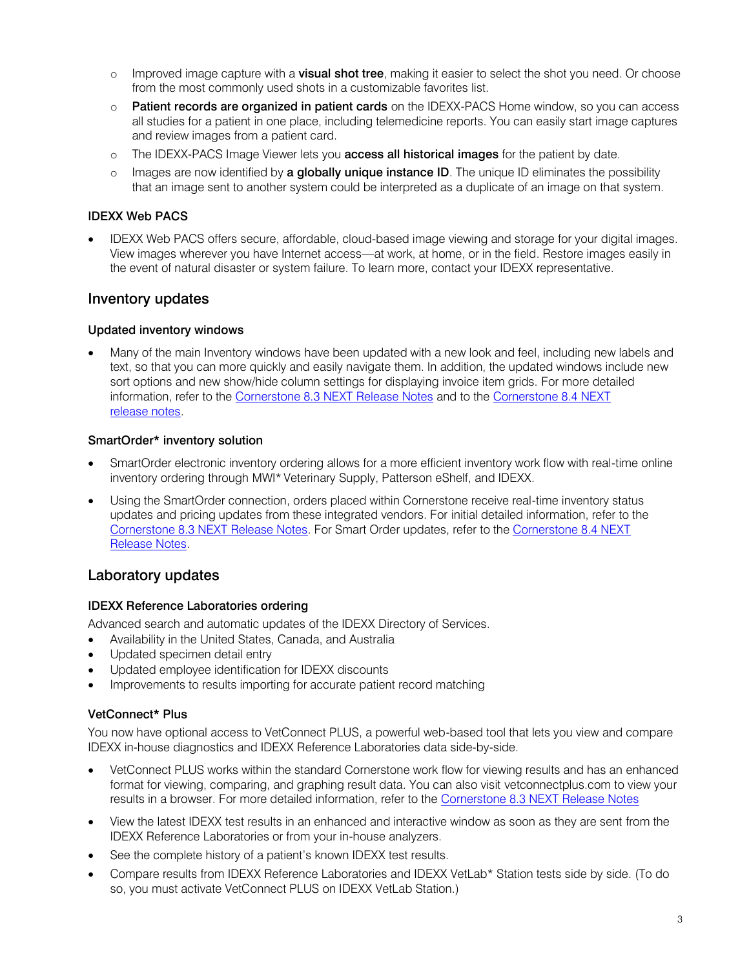- o Improved image capture with a visual shot tree, making it easier to select the shot you need. Or choose from the most commonly used shots in a customizable favorites list.
- o Patient records are organized in patient cards on the IDEXX-PACS Home window, so you can access all studies for a patient in one place, including telemedicine reports. You can easily start image captures and review images from a patient card.
- o The IDEXX-PACS Image Viewer lets you **access all historical images** for the patient by date.
- $\circ$  Images are now identified by **a globally unique instance ID**. The unique ID eliminates the possibility that an image sent to another system could be interpreted as a duplicate of an image on that system.

#### IDEXX Web PACS

 IDEXX Web PACS offers secure, affordable, cloud-based image viewing and storage for your digital images. View images wherever you have Internet access—at work, at home, or in the field. Restore images easily in the event of natural disaster or system failure. To learn more, contact your IDEXX representative.

## Inventory updates

#### Updated inventory windows

 Many of the main Inventory windows have been updated with a new look and feel, including new labels and text, so that you can more quickly and easily navigate them. In addition, the updated windows include new sort options and new show/hide column settings for displaying invoice item grids. For more detailed information, refer to the [Cornerstone 8.3 NEXT](https://www.idexx.com/files/small-animal-health/products-and-services/practice-information-management/cornerstone-software/cornerstone-8.3.6-whats-new.pdf) Release Notes and to the [Cornerstone 8.4 NEXT](https://www.idexx.com/files/small-animal-health/products-and-services/practice-information-management/cornerstone-software/cornerstone-8-4-NEXT-ga-release-notes.pdf)  [release notes.](https://www.idexx.com/files/small-animal-health/products-and-services/practice-information-management/cornerstone-software/cornerstone-8-4-NEXT-ga-release-notes.pdf)

#### SmartOrder\* inventory solution

- SmartOrder electronic inventory ordering allows for a more efficient inventory work flow with real-time online inventory ordering through MWI\* Veterinary Supply, Patterson eShelf, and IDEXX.
- Using the SmartOrder connection, orders placed within Cornerstone receive real-time inventory status updates and pricing updates from these integrated vendors. For initial detailed information, refer to the [Cornerstone 8.3 NEXT Release Notes.](https://www.idexx.com/files/small-animal-health/products-and-services/practice-information-management/cornerstone-software/cornerstone-8.3.6-whats-new.pdf) For Smart Order updates, refer to the [Cornerstone 8.4 NEXT](https://www.idexx.com/files/small-animal-health/products-and-services/practice-information-management/cornerstone-software/cornerstone-8-4-NEXT-ga-release-notes.pdf)  [Release Notes.](https://www.idexx.com/files/small-animal-health/products-and-services/practice-information-management/cornerstone-software/cornerstone-8-4-NEXT-ga-release-notes.pdf)

## Laboratory updates

#### IDEXX Reference Laboratories ordering

Advanced search and automatic updates of the IDEXX Directory of Services.

- Availability in the United States, Canada, and Australia
- Updated specimen detail entry
- Updated employee identification for IDEXX discounts
- Improvements to results importing for accurate patient record matching

#### VetConnect\* Plus

You now have optional access to VetConnect PLUS, a powerful web-based tool that lets you view and compare IDEXX in-house diagnostics and IDEXX Reference Laboratories data side-by-side.

- VetConnect PLUS works within the standard Cornerstone work flow for viewing results and has an enhanced format for viewing, comparing, and graphing result data. You can also visit vetconnectplus.com to view your results in a browser. For more detailed information, refer to the [Cornerstone 8.3 NEXT Release Notes](https://www.idexx.com/files/small-animal-health/products-and-services/practice-information-management/cornerstone-software/cornerstone-8.3.6-whats-new.pdf)
- View the latest IDEXX test results in an enhanced and interactive window as soon as they are sent from the IDEXX Reference Laboratories or from your in-house analyzers.
- See the complete history of a patient's known IDEXX test results.
- Compare results from IDEXX Reference Laboratories and IDEXX VetLab\* Station tests side by side. (To do so, you must activate VetConnect PLUS on IDEXX VetLab Station.)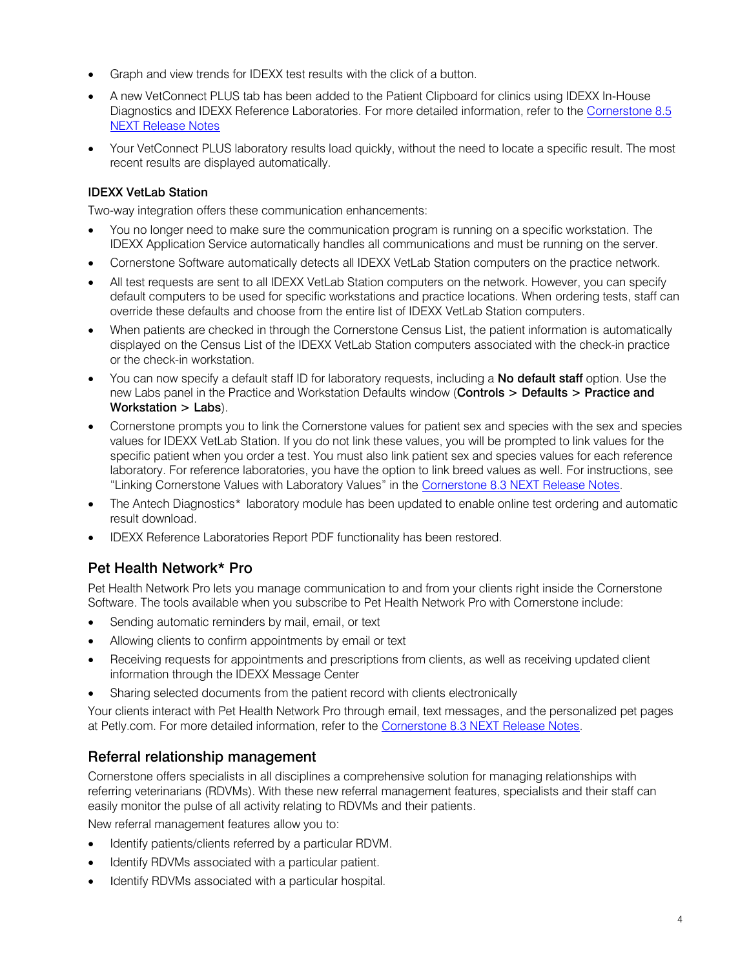- Graph and view trends for IDEXX test results with the click of a button.
- A new VetConnect PLUS tab has been added to the Patient Clipboard for clinics using IDEXX In-House Diagnostics and IDEXX Reference Laboratories. For more detailed information, refer to the [Cornerstone 8.5](https://www.idexx.com/files/small-animal-health/products-and-services/practice-information-management/cornerstone-software/art-06-0005040-03_Cornerstone_8.5_NEXT_Release_Notes.pdf) [NEXT Release Notes](https://www.idexx.com/files/small-animal-health/products-and-services/practice-information-management/cornerstone-software/art-06-0005040-03_Cornerstone_8.5_NEXT_Release_Notes.pdf)
- Your VetConnect PLUS laboratory results load quickly, without the need to locate a specific result. The most recent results are displayed automatically.

## **IDEXX VetLab Station**

Two-way integration offers these communication enhancements:

- You no longer need to make sure the communication program is running on a specific workstation. The IDEXX Application Service automatically handles all communications and must be running on the server.
- Cornerstone Software automatically detects all IDEXX VetLab Station computers on the practice network.
- All test requests are sent to all IDEXX VetLab Station computers on the network. However, you can specify default computers to be used for specific workstations and practice locations. When ordering tests, staff can override these defaults and choose from the entire list of IDEXX VetLab Station computers.
- When patients are checked in through the Cornerstone Census List, the patient information is automatically displayed on the Census List of the IDEXX VetLab Station computers associated with the check-in practice or the check-in workstation.
- You can now specify a default staff ID for laboratory requests, including a No default staff option. Use the new Labs panel in the Practice and Workstation Defaults window (Controls > Defaults > Practice and Workstation > Labs).
- Cornerstone prompts you to link the Cornerstone values for patient sex and species with the sex and species values for IDEXX VetLab Station. If you do not link these values, you will be prompted to link values for the specific patient when you order a test. You must also link patient sex and species values for each reference laboratory. For reference laboratories, you have the option to link breed values as well. For instructions, see "Linking Cornerstone Values with Laboratory Values" in the [Cornerstone 8.3 NEXT Release Notes.](https://www.idexx.com/files/small-animal-health/products-and-services/practice-information-management/cornerstone-software/cornerstone-8.3.6-whats-new.pdf)
- The Antech Diagnostics\* laboratory module has been updated to enable online test ordering and automatic result download.
- IDEXX Reference Laboratories Report PDF functionality has been restored.

# Pet Health Network\* Pro

Pet Health Network Pro lets you manage communication to and from your clients right inside the Cornerstone Software. The tools available when you subscribe to Pet Health Network Pro with Cornerstone include:

- Sending automatic reminders by mail, email, or text
- Allowing clients to confirm appointments by email or text
- Receiving requests for appointments and prescriptions from clients, as well as receiving updated client information through the IDEXX Message Center
- Sharing selected documents from the patient record with clients electronically

Your clients interact with Pet Health Network Pro through email, text messages, and the personalized pet pages at Petly.com. For more detailed information, refer to the [Cornerstone 8.3 NEXT Release Notes.](https://www.idexx.com/files/small-animal-health/products-and-services/practice-information-management/cornerstone-software/cornerstone-8.3.6-whats-new.pdf)

# Referral relationship management

Cornerstone offers specialists in all disciplines a comprehensive solution for managing relationships with referring veterinarians (RDVMs). With these new referral management features, specialists and their staff can easily monitor the pulse of all activity relating to RDVMs and their patients.

New referral management features allow you to:

- Identify patients/clients referred by a particular RDVM.
- Identify RDVMs associated with a particular patient.
- Identify RDVMs associated with a particular hospital.